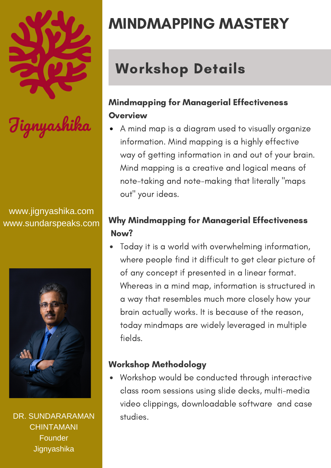#### www.jignyashika.com www.sundarspeaks.com



DR. SUNDARARAMAN **CHINTAMANI** Founder **Jignyashika** 

# MINDMAPPING MASTERY

## Workshop Details

## Mindmapping for Managerial Effectiveness **Overview**

A mind map is a diagram used to visually organize information. Mind mapping is a highly effective way of getting information in and out of your brain. Mind mapping is a creative and logical means of note-taking and note-making that literally "maps out" your ideas.

## Why Mindmapping for Managerial Effectiveness Now?

Today it is a world with overwhelming information, where people find it difficult to get clear picture of of any concept if presented in a linear format. Whereas in a mind map, information is structured in a way that resembles much more closely how your brain actually works. It is because of the reason, today mindmaps are widely leveraged in multiple fields.

#### Workshop Methodology

Workshop would be conducted through interactive class room sessions using slide decks, multi-media video clippings, downloadable software and case studies.